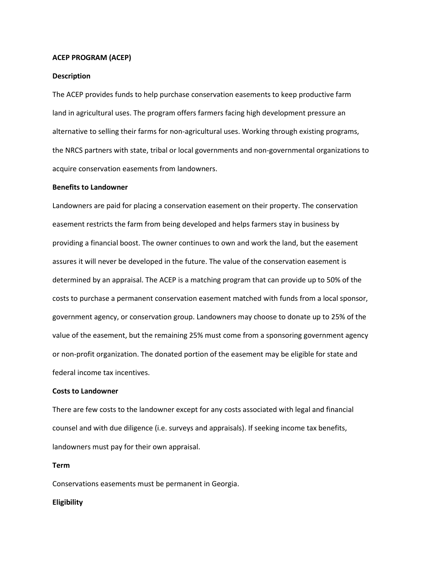### **ACEP PROGRAM (ACEP)**

## **Description**

The ACEP provides funds to help purchase conservation easements to keep productive farm land in agricultural uses. The program offers farmers facing high development pressure an alternative to selling their farms for non-agricultural uses. Working through existing programs, the NRCS partners with state, tribal or local governments and non-governmental organizations to acquire conservation easements from landowners.

### **Benefits to Landowner**

Landowners are paid for placing a conservation easement on their property. The conservation easement restricts the farm from being developed and helps farmers stay in business by providing a financial boost. The owner continues to own and work the land, but the easement assures it will never be developed in the future. The value of the conservation easement is determined by an appraisal. The ACEP is a matching program that can provide up to 50% of the costs to purchase a permanent conservation easement matched with funds from a local sponsor, government agency, or conservation group. Landowners may choose to donate up to 25% of the value of the easement, but the remaining 25% must come from a sponsoring government agency or non-profit organization. The donated portion of the easement may be eligible for state and federal income tax incentives.

## **Costs to Landowner**

There are few costs to the landowner except for any costs associated with legal and financial counsel and with due diligence (i.e. surveys and appraisals). If seeking income tax benefits, landowners must pay for their own appraisal.

#### **Term**

Conservations easements must be permanent in Georgia.

### **Eligibility**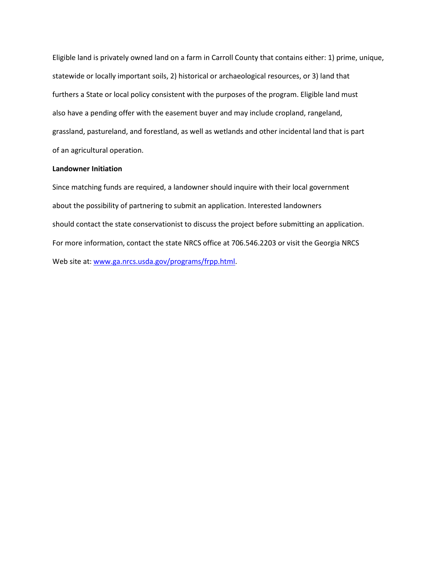Eligible land is privately owned land on a farm in Carroll County that contains either: 1) prime, unique, statewide or locally important soils, 2) historical or archaeological resources, or 3) land that furthers a State or local policy consistent with the purposes of the program. Eligible land must also have a pending offer with the easement buyer and may include cropland, rangeland, grassland, pastureland, and forestland, as well as wetlands and other incidental land that is part of an agricultural operation.

# **Landowner Initiation**

Since matching funds are required, a landowner should inquire with their local government about the possibility of partnering to submit an application. Interested landowners should contact the state conservationist to discuss the project before submitting an application. For more information, contact the state NRCS office at 706.546.2203 or visit the Georgia NRCS Web site at: [www.ga.nrcs.usda.gov/programs/frpp.html.](http://www.ga.nrcs.usda.gov/programs/frpp.html)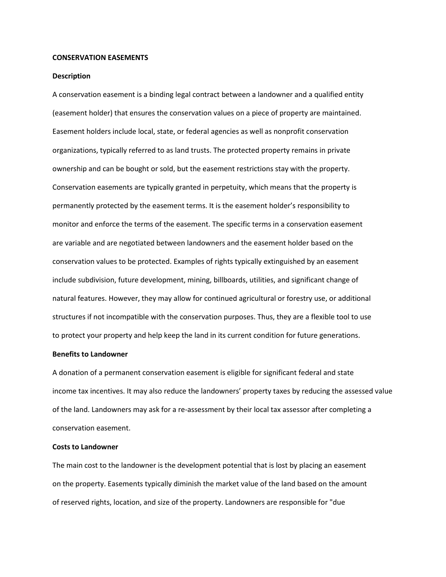### **CONSERVATION EASEMENTS**

#### **Description**

A conservation easement is a binding legal contract between a landowner and a qualified entity (easement holder) that ensures the conservation values on a piece of property are maintained. Easement holders include local, state, or federal agencies as well as nonprofit conservation organizations, typically referred to as land trusts. The protected property remains in private ownership and can be bought or sold, but the easement restrictions stay with the property. Conservation easements are typically granted in perpetuity, which means that the property is permanently protected by the easement terms. It is the easement holder's responsibility to monitor and enforce the terms of the easement. The specific terms in a conservation easement are variable and are negotiated between landowners and the easement holder based on the conservation values to be protected. Examples of rights typically extinguished by an easement include subdivision, future development, mining, billboards, utilities, and significant change of natural features. However, they may allow for continued agricultural or forestry use, or additional structures if not incompatible with the conservation purposes. Thus, they are a flexible tool to use to protect your property and help keep the land in its current condition for future generations.

## **Benefits to Landowner**

A donation of a permanent conservation easement is eligible for significant federal and state income tax incentives. It may also reduce the landowners' property taxes by reducing the assessed value of the land. Landowners may ask for a re-assessment by their local tax assessor after completing a conservation easement.

# **Costs to Landowner**

The main cost to the landowner is the development potential that is lost by placing an easement on the property. Easements typically diminish the market value of the land based on the amount of reserved rights, location, and size of the property. Landowners are responsible for "due